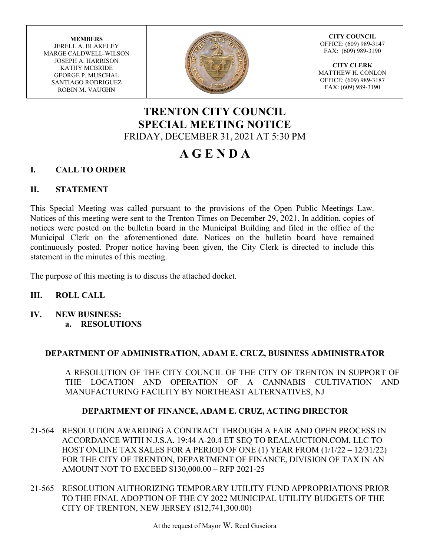**MEMBERS** JERELL A. BLAKELEY MARGE CALDWELL-WILSON JOSEPH A. HARRISON KATHY MCBRIDE GEORGE P. MUSCHAL SANTIAGO RODRIGUEZ ROBIN M. VAUGHN



**CITY COUNCIL** OFFICE: (609) 989-3147 FAX: (609) 989-3190

**CITY CLERK** MATTHEW H. CONLON OFFICE: (609) 989-3187 FAX: (609) 989-3190

# **TRENTON CITY COUNCIL SPECIAL MEETING NOTICE** FRIDAY, DECEMBER 31, 2021 AT 5:30 PM

# **A G E N D A**

## **I. CALL TO ORDER**

## **II. STATEMENT**

This Special Meeting was called pursuant to the provisions of the Open Public Meetings Law. Notices of this meeting were sent to the Trenton Times on December 29, 2021. In addition, copies of notices were posted on the bulletin board in the Municipal Building and filed in the office of the Municipal Clerk on the aforementioned date. Notices on the bulletin board have remained continuously posted. Proper notice having been given, the City Clerk is directed to include this statement in the minutes of this meeting.

The purpose of this meeting is to discuss the attached docket.

#### **III. ROLL CALL**

**IV. NEW BUSINESS: a. RESOLUTIONS**

#### **DEPARTMENT OF ADMINISTRATION, ADAM E. CRUZ, BUSINESS ADMINISTRATOR**

A RESOLUTION OF THE CITY COUNCIL OF THE CITY OF TRENTON IN SUPPORT OF THE LOCATION AND OPERATION OF A CANNABIS CULTIVATION AND MANUFACTURING FACILITY BY NORTHEAST ALTERNATIVES, NJ

#### **DEPARTMENT OF FINANCE, ADAM E. CRUZ, ACTING DIRECTOR**

- 21-564 RESOLUTION AWARDING A CONTRACT THROUGH A FAIR AND OPEN PROCESS IN ACCORDANCE WITH N.J.S.A. 19:44 A-20.4 ET SEQ TO REALAUCTION.COM, LLC TO HOST ONLINE TAX SALES FOR A PERIOD OF ONE (1) YEAR FROM (1/1/22 – 12/31/22) FOR THE CITY OF TRENTON, DEPARTMENT OF FINANCE, DIVISION OF TAX IN AN AMOUNT NOT TO EXCEED \$130,000.00 – RFP 2021-25
- 21-565 RESOLUTION AUTHORIZING TEMPORARY UTILITY FUND APPROPRIATIONS PRIOR TO THE FINAL ADOPTION OF THE CY 2022 MUNICIPAL UTILITY BUDGETS OF THE CITY OF TRENTON, NEW JERSEY (\$12,741,300.00)